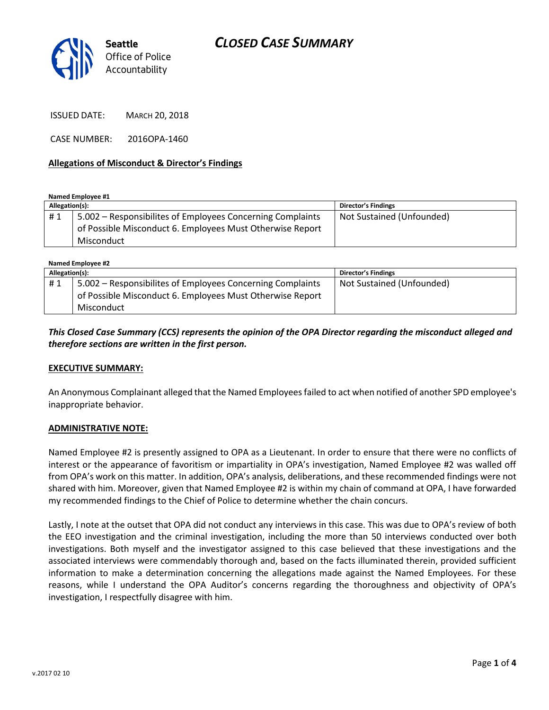# *CLOSED CASE SUMMARY*



ISSUED DATE: MARCH 20, 2018

CASE NUMBER: 2016OPA-1460

### **Allegations of Misconduct & Director's Findings**

**Named Employee #1**

| Allegation(s): |                                                            | <b>Director's Findings</b> |
|----------------|------------------------------------------------------------|----------------------------|
| #1             | 5.002 – Responsibilites of Employees Concerning Complaints | Not Sustained (Unfounded)  |
|                | of Possible Misconduct 6. Employees Must Otherwise Report  |                            |
|                | Misconduct                                                 |                            |

**Named Employee #2**

| Allegation(s): |                                                            | <b>Director's Findings</b> |  |
|----------------|------------------------------------------------------------|----------------------------|--|
| #1             | 5.002 – Responsibilites of Employees Concerning Complaints | Not Sustained (Unfounded)  |  |
|                | of Possible Misconduct 6. Employees Must Otherwise Report  |                            |  |
|                | Misconduct                                                 |                            |  |

*This Closed Case Summary (CCS) represents the opinion of the OPA Director regarding the misconduct alleged and therefore sections are written in the first person.* 

#### **EXECUTIVE SUMMARY:**

An Anonymous Complainant alleged that the Named Employees failed to act when notified of another SPD employee's inappropriate behavior.

#### **ADMINISTRATIVE NOTE:**

Named Employee #2 is presently assigned to OPA as a Lieutenant. In order to ensure that there were no conflicts of interest or the appearance of favoritism or impartiality in OPA's investigation, Named Employee #2 was walled off from OPA's work on this matter. In addition, OPA's analysis, deliberations, and these recommended findings were not shared with him. Moreover, given that Named Employee #2 is within my chain of command at OPA, I have forwarded my recommended findings to the Chief of Police to determine whether the chain concurs.

Lastly, I note at the outset that OPA did not conduct any interviews in this case. This was due to OPA's review of both the EEO investigation and the criminal investigation, including the more than 50 interviews conducted over both investigations. Both myself and the investigator assigned to this case believed that these investigations and the associated interviews were commendably thorough and, based on the facts illuminated therein, provided sufficient information to make a determination concerning the allegations made against the Named Employees. For these reasons, while I understand the OPA Auditor's concerns regarding the thoroughness and objectivity of OPA's investigation, I respectfully disagree with him.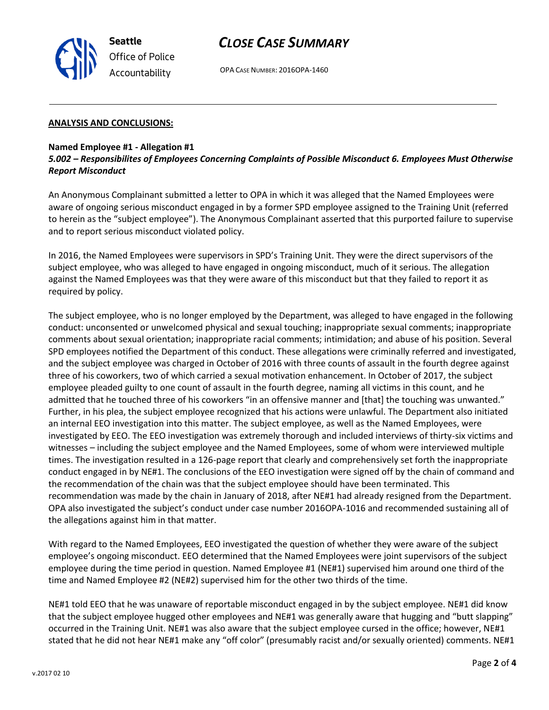

## *CLOSE CASE SUMMARY*

OPA CASE NUMBER: 2016OPA-1460

#### **ANALYSIS AND CONCLUSIONS:**

### **Named Employee #1 - Allegation #1**

*5.002 – Responsibilites of Employees Concerning Complaints of Possible Misconduct 6. Employees Must Otherwise Report Misconduct*

An Anonymous Complainant submitted a letter to OPA in which it was alleged that the Named Employees were aware of ongoing serious misconduct engaged in by a former SPD employee assigned to the Training Unit (referred to herein as the "subject employee"). The Anonymous Complainant asserted that this purported failure to supervise and to report serious misconduct violated policy.

In 2016, the Named Employees were supervisors in SPD's Training Unit. They were the direct supervisors of the subject employee, who was alleged to have engaged in ongoing misconduct, much of it serious. The allegation against the Named Employees was that they were aware of this misconduct but that they failed to report it as required by policy.

The subject employee, who is no longer employed by the Department, was alleged to have engaged in the following conduct: unconsented or unwelcomed physical and sexual touching; inappropriate sexual comments; inappropriate comments about sexual orientation; inappropriate racial comments; intimidation; and abuse of his position. Several SPD employees notified the Department of this conduct. These allegations were criminally referred and investigated, and the subject employee was charged in October of 2016 with three counts of assault in the fourth degree against three of his coworkers, two of which carried a sexual motivation enhancement. In October of 2017, the subject employee pleaded guilty to one count of assault in the fourth degree, naming all victims in this count, and he admitted that he touched three of his coworkers "in an offensive manner and [that] the touching was unwanted." Further, in his plea, the subject employee recognized that his actions were unlawful. The Department also initiated an internal EEO investigation into this matter. The subject employee, as well as the Named Employees, were investigated by EEO. The EEO investigation was extremely thorough and included interviews of thirty-six victims and witnesses – including the subject employee and the Named Employees, some of whom were interviewed multiple times. The investigation resulted in a 126-page report that clearly and comprehensively set forth the inappropriate conduct engaged in by NE#1. The conclusions of the EEO investigation were signed off by the chain of command and the recommendation of the chain was that the subject employee should have been terminated. This recommendation was made by the chain in January of 2018, after NE#1 had already resigned from the Department. OPA also investigated the subject's conduct under case number 2016OPA-1016 and recommended sustaining all of the allegations against him in that matter.

With regard to the Named Employees, EEO investigated the question of whether they were aware of the subject employee's ongoing misconduct. EEO determined that the Named Employees were joint supervisors of the subject employee during the time period in question. Named Employee #1 (NE#1) supervised him around one third of the time and Named Employee #2 (NE#2) supervised him for the other two thirds of the time.

NE#1 told EEO that he was unaware of reportable misconduct engaged in by the subject employee. NE#1 did know that the subject employee hugged other employees and NE#1 was generally aware that hugging and "butt slapping" occurred in the Training Unit. NE#1 was also aware that the subject employee cursed in the office; however, NE#1 stated that he did not hear NE#1 make any "off color" (presumably racist and/or sexually oriented) comments. NE#1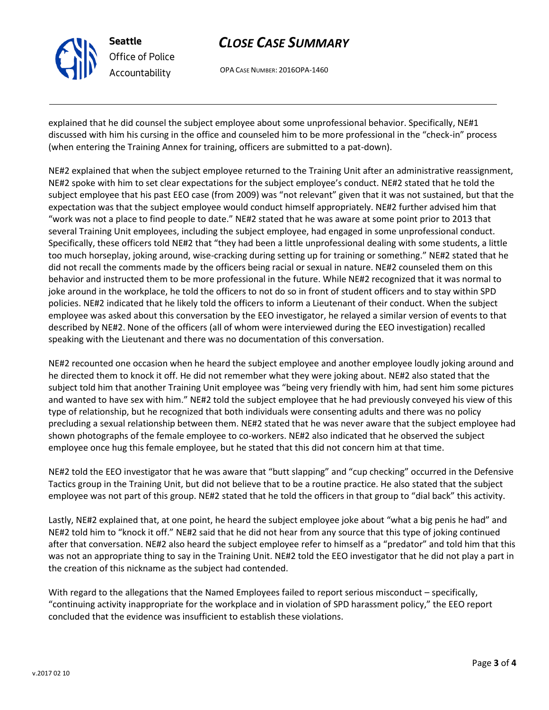

# *CLOSE CASE SUMMARY*

OPA CASE NUMBER: 2016OPA-1460

explained that he did counsel the subject employee about some unprofessional behavior. Specifically, NE#1 discussed with him his cursing in the office and counseled him to be more professional in the "check-in" process (when entering the Training Annex for training, officers are submitted to a pat-down).

NE#2 explained that when the subject employee returned to the Training Unit after an administrative reassignment, NE#2 spoke with him to set clear expectations for the subject employee's conduct. NE#2 stated that he told the subject employee that his past EEO case (from 2009) was "not relevant" given that it was not sustained, but that the expectation was that the subject employee would conduct himself appropriately. NE#2 further advised him that "work was not a place to find people to date." NE#2 stated that he was aware at some point prior to 2013 that several Training Unit employees, including the subject employee, had engaged in some unprofessional conduct. Specifically, these officers told NE#2 that "they had been a little unprofessional dealing with some students, a little too much horseplay, joking around, wise-cracking during setting up for training or something." NE#2 stated that he did not recall the comments made by the officers being racial or sexual in nature. NE#2 counseled them on this behavior and instructed them to be more professional in the future. While NE#2 recognized that it was normal to joke around in the workplace, he told the officers to not do so in front of student officers and to stay within SPD policies. NE#2 indicated that he likely told the officers to inform a Lieutenant of their conduct. When the subject employee was asked about this conversation by the EEO investigator, he relayed a similar version of events to that described by NE#2. None of the officers (all of whom were interviewed during the EEO investigation) recalled speaking with the Lieutenant and there was no documentation of this conversation.

NE#2 recounted one occasion when he heard the subject employee and another employee loudly joking around and he directed them to knock it off. He did not remember what they were joking about. NE#2 also stated that the subject told him that another Training Unit employee was "being very friendly with him, had sent him some pictures and wanted to have sex with him." NE#2 told the subject employee that he had previously conveyed his view of this type of relationship, but he recognized that both individuals were consenting adults and there was no policy precluding a sexual relationship between them. NE#2 stated that he was never aware that the subject employee had shown photographs of the female employee to co-workers. NE#2 also indicated that he observed the subject employee once hug this female employee, but he stated that this did not concern him at that time.

NE#2 told the EEO investigator that he was aware that "butt slapping" and "cup checking" occurred in the Defensive Tactics group in the Training Unit, but did not believe that to be a routine practice. He also stated that the subject employee was not part of this group. NE#2 stated that he told the officers in that group to "dial back" this activity.

Lastly, NE#2 explained that, at one point, he heard the subject employee joke about "what a big penis he had" and NE#2 told him to "knock it off." NE#2 said that he did not hear from any source that this type of joking continued after that conversation. NE#2 also heard the subject employee refer to himself as a "predator" and told him that this was not an appropriate thing to say in the Training Unit. NE#2 told the EEO investigator that he did not play a part in the creation of this nickname as the subject had contended.

With regard to the allegations that the Named Employees failed to report serious misconduct – specifically, "continuing activity inappropriate for the workplace and in violation of SPD harassment policy," the EEO report concluded that the evidence was insufficient to establish these violations.